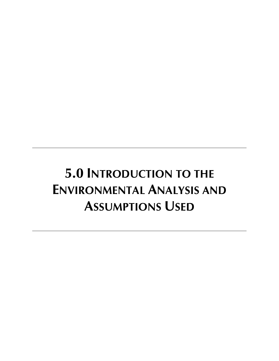# **5.0 INTRODUCTION TO THE ENVIRONMENTAL ANALYSIS AND ASSUMPTIONS USED**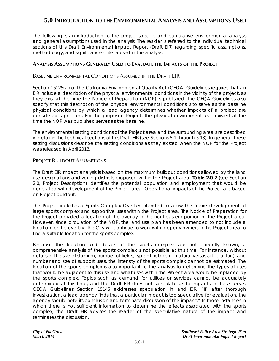The following is an introduction to the project-specific and cumulative environmental analysis and general assumptions used in the analysis. The reader is referred to the individual technical sections of this Draft Environmental Impact Report (Draft EIR) regarding specific assumptions, methodology, and significance criteria used in the analysis.

## **ANALYSIS ASSUMPTIONS GENERALLY USED TO EVALUATE THE IMPACTS OF THE PROJECT**

## BASELINE ENVIRONMENTAL CONDITIONS ASSUMED IN THE DRAFT EIR

Section 15125(a) of the California Environmental Quality Act (CEQA) Guidelines requires that an EIR include a description of the physical environmental conditions in the vicinity of the project, as they exist at the time the Notice of Preparation (NOP) is published. The CEQA Guidelines also specify that this description of the physical environmental conditions is to serve as the baseline physical conditions by which a lead agency determines whether impacts of a project are considered significant. For the proposed Project, the physical environment as it existed at the time the NOP was published serves as the baseline.

The environmental setting conditions of the Project area and the surrounding area are described in detail in the technical sections of this Draft EIR (see Sections 5.1 through 5.13). In general, these setting discussions describe the setting conditions as they existed when the NOP for the Project was released in April 2013.

## PROJECT BUILDOUT ASSUMPTIONS

The Draft EIR impact analysis is based on the maximum buildout conditions allowed by the land use designations and zoning districts proposed within the Project area. **Table 2.0-2** (see Section 2.0, Project Description) identifies the potential population and employment that would be generated with development of the Project area. Operational impacts of the Project are based on Project buildout.

The Project includes a Sports Complex Overlay intended to allow the future development of large sports complex and supportive uses within the Project area. The Notice of Preparation for the Project provided a location of the overlay in the northeastern portion of the Project area. However, since circulation of the NOP, the land use plan has been amended to not include a location for the overlay. The City will continue to work with property owners in the Project area to find a suitable location for the sports complex.

Because the location and details of the sports complex are not currently known, a comprehensive analysis of the sports complex is not possible at this time. For instance, without details of the size of stadium, number of fields, type of field (e.g., natural versus artificial turf), and number and size of support uses, the intensity of the sports complex cannot be estimated. The location of the sports complex is also important to the analysis to determine the types of uses that would be adjacent to this use and what uses within the Project area would be replaced by the sports complex. Topics such as demand for utilities or services cannot be accurately determined at this time, and the Draft EIR does not speculate as to impacts in these areas. CEQA Guidelines Section 15145 addresses speculation in and EIR: "If, after thorough investigation, a lead agency finds that a particular impact is too speculative for evaluation, the agency should note its conclusion and terminate discussion of the impact." In those instances in which there is not sufficient information to determine the effects associated with the sports complex, the Draft EIR advises the reader of the speculative nature of the impact and terminates the discussion.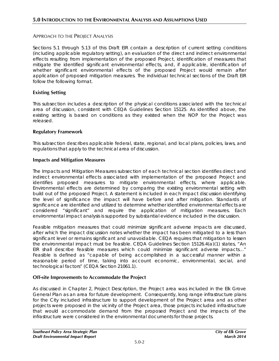## APPROACH TO THE PROJECT ANALYSIS

Sections 5.1 through 5.13 of this Draft EIR contain a description of current setting conditions (including applicable regulatory setting), an evaluation of the direct and indirect environmental effects resulting from implementation of the proposed Project, identification of measures that mitigate the identified significant environmental effects, and, if applicable, identification of whether significant environmental effects of the proposed Project would remain after application of proposed mitigation measures. The individual technical sections of the Draft EIR follow the following format.

## **Existing Setting**

This subsection includes a description of the physical conditions associated with the technical area of discussion, consistent with CEQA Guidelines Section 15125. As identified above, the existing setting is based on conditions as they existed when the NOP for the Project was released.

## **Regulatory Framework**

This subsection describes applicable federal, state, regional, and local plans, policies, laws, and regulations that apply to the technical area of discussion.

#### **Impacts and Mitigation Measures**

The Impacts and Mitigation Measures subsection of each technical section identifies direct and indirect environmental effects associated with implementation of the proposed Project and identifies proposed measures to mitigate environmental effects, where applicable. Environmental effects are determined by comparing the existing environmental setting with build out of the proposed Project. A statement is included in each impact discussion identifying the level of significance the impact will have before and after mitigation. Standards of significance are identified and utilized to determine whether identified environmental effects are considered "significant" and require the application of mitigation measures. Each environmental impact analysis is supported by substantial evidence included in the discussion.

Feasible mitigation measures that could minimize significant adverse impacts are discussed, after which the impact discussion notes whether the impact has been mitigated to a less than significant level or remains significant and unavoidable. CEQA requires that mitigation to lessen the environmental impact must be feasible. CEQA Guidelines Section 15126.4(a)(1) states, "An EIR shall describe feasible measures which could minimize significant adverse impacts…" Feasible is defined as "capable of being accomplished in a successful manner within a reasonable period of time, taking into account economic, environmental, social, and technological factors" (CEQA Section 21061.1).

## **Off-site Improvements to Accommodate the Project**

As discussed in Chapter 2, Project Description, the Project area was included in the Elk Grove General Plan as an area for future development. Consequently, long range infrastructure plans for the City included infrastructure to support development of the Project area and as other projects were proposed in the vicinity of the Project area, those projects included infrastructure that would accommodate demand from the proposed Project and the impacts of the infrastructure were considered in the environmental documents for those projects.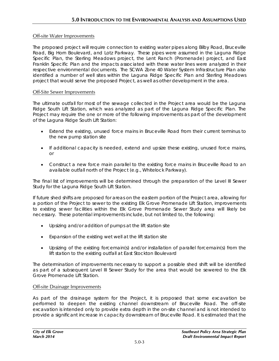## Off-site Water Improvements

The proposed project will require connection to existing water pipes along Bilby Road, Bruceville Road, Big Horn Boulevard, and Lotz Parkway. These pipes were assumed in the Laguna Ridge Specific Plan, the Sterling Meadows project, the Lent Ranch (Promenade) project, and East Franklin Specific Plan and the impacts associated with these water lines were analyzed in their respective environmental documents. The SCWA Zone 40 Water System Infrastructure Plan also identified a number of well sites within the Laguna Ridge Specific Plan and Sterling Meadows project that would serve the proposed Project, as well as other development in the area.

## Off-Site Sewer Improvements

The ultimate outfall for most of the sewage collected in the Project area would be the Laguna Ridge South Lift Station, which was analyzed as part of the Laguna Ridge Specific Plan. The Project may require the one or more of the following improvements as part of the development of the Laguna Ridge South Lift Station:

- Extend the existing, unused force mains in Bruceville Road from their current terminus to the new pump station site
- If additional capacity is needed, extend and upsize these existing, unused force mains, or
- Construct a new force main parallel to the existing force mains in Bruceville Road to an available outfall north of the Project (e.g., Whitelock Parkway).

The final list of improvements will be determined through the preparation of the Level III Sewer Study for the Laguna Ridge South Lift Station.

If future shed shifts are proposed for areas on the eastern portion of the Project area, allowing for a portion of the Project to sewer to the existing Elk Grove Promenade Lift Station, improvements to existing sewer facilities within the Elk Grove Promenade Sewer Study area will likely be necessary. These potential improvements include, but not limited to, the following:

- Upsizing and/or addition of pumps at the lift station site
- Expansion of the existing wet well at the lift station site
- Upsizing of the existing forcemain(s) and/or installation of parallel forcemain(s) from the lift station to the existing outfall at East Stockton Boulevard

The determination of improvements necessary to support a possible shed shift will be identified as part of a subsequent Level III Sewer Study for the area that would be sewered to the Elk Grove Promenade Lift Station.

#### Off-site Drainage Improvements

As part of the drainage system for the Project, it is proposed that some excavation be performed to deepen the existing channel downstream of Bruceville Road. The off-site excavation is intended only to provide extra depth in the on-site channel and is not intended to provide a significant increase in capacity downstream of Bruceville Road. It is estimated that the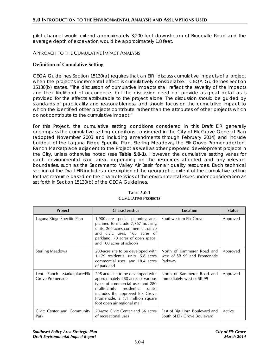pilot channel would extend approximately 3,200 feet downstream of Bruceville Road and the average depth of excavation would be approximately 1.8 feet.

#### APPROACH TO THE CUMULATIVE IMPACT ANALYSIS

#### **Definition of Cumulative Setting**

CEQA Guidelines Section 15130(a) requires that an EIR "discuss cumulative impacts of a project when the project's incremental effect is cumulatively considerable." CEQA Guidelines Section 15130(b) states, "The discussion of cumulative impacts shall reflect the severity of the impacts and their likelihood of occurrence, but the discussion need not provide as great detail as is provided for the effects attributable to the project alone. The discussion should be guided by standards of practicality and reasonableness, and should focus on the cumulative impact to which the identified other projects contribute rather than the attributes of other projects which do not contribute to the cumulative impact."

For this Project, the cumulative setting conditions considered in this Draft EIR generally encompass the cumulative setting conditions considered in the City of Elk Grove General Plan (adopted November 2003 and including amendments through February 2014) and include buildout of the Laguna Ridge Specific Plan, Sterling Meadows, the Elk Grove Promenade/Lent Ranch Marketplace adjacent to the Project as well as other proposed development projects in the City, unless otherwise noted (see **Table 5.0-1**). However, the cumulative setting varies for each environmental issue area, depending on the resources affected and any relevant boundaries, such as the Sacramento Valley Air Basin for air quality resources. Each technical section of the Draft EIR includes a description of the geographic extent of the cumulative setting for that resource based on the characteristics of the environmental issues under consideration as set forth in Section 15130(b) of the CEQA Guidelines.

| Project                                       | <b>Characteristics</b>                                                                                                                                                                                                                                  | Location                                                             | <b>Status</b> |
|-----------------------------------------------|---------------------------------------------------------------------------------------------------------------------------------------------------------------------------------------------------------------------------------------------------------|----------------------------------------------------------------------|---------------|
| Laguna Ridge Specific Plan                    | 1,900-acre special planning area<br>planned to include 7,767 housing<br>units, 265 acres commercial, office<br>and civic uses, 165 acres of<br>parkland, 70 acres of open space,<br>and 100 acres of schools                                            | Southwestern Elk Grove                                               | Approved      |
| <b>Sterling Meadows</b>                       | 200-acre site to be developed with<br>1,179 residential units, 5.8 acres<br>commercial uses, and 18.4 acres<br>of parkland                                                                                                                              | North of Kammerer Road and<br>west of SR 99 and Promenade<br>Parkway | Approved      |
| Lent Ranch Marketplace/Elk<br>Grove Promenade | 295-acre site to be developed with<br>approximately 280 acres of various<br>types of commercial uses and 280<br>multi-family residential<br>units;<br>includes the approved Elk Grove<br>Promenade, a 1.1 million square<br>foot open air regional mall | North of Kammerer Road and<br>immediately west of SR 99              | Approved      |
| Civic Center and Community<br>Park            | 20-acre Civic Center and 56 acres<br>of recreational uses                                                                                                                                                                                               | East of Big Horn Boulevard and<br>South of Elk Grove Boulevard       | Active        |

## **TABLE 5.0-1 CUMULATIVE PROJECTS**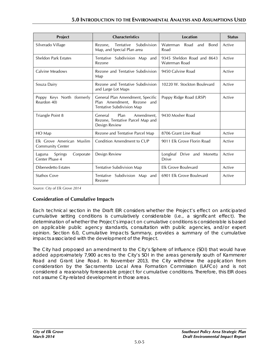| Project                                              | <b>Characteristics</b>                                                                      | <b>Location</b>                                | <b>Status</b> |
|------------------------------------------------------|---------------------------------------------------------------------------------------------|------------------------------------------------|---------------|
| Silverado Village                                    | Subdivision<br>Tentative<br>Rezone,<br>Map, and Special Plan area                           | Waterman<br>Road<br><b>Bond</b><br>and<br>Road | Active        |
| <b>Sheldon Park Estates</b>                          | Tentative Subdivision Map and<br>Rezone                                                     | 9345 Sheldon Road and 8643<br>Waterman Road    | Active        |
| Calvine Meadows                                      | Rezone and Tentative Subdivision<br>Map                                                     | 9450 Calvine Road                              | Active        |
| Souza Dairy                                          | Rezone and Tentative Subdivision<br>and Large Lot Maps                                      | 10220 W. Stockton Boulevard                    | Active        |
| Poppy Keys North (formerly<br>Reardon 40)            | General Plan Amendment, Specific<br>Plan Amendment. Rezone and<br>Tentative Subdivision Map | Poppy Ridge Road (LRSP)                        | Active        |
| Triangle Point 8                                     | Plan<br>Amendment.<br>General<br>Rezone, Tentative Parcel Map and<br>Design Review          | 9430 Mosher Road                               |               |
| HO Map                                               | Rezone and Tentative Parcel Map                                                             | 8706 Grant Line Road                           | Active        |
| Elk Grove American Muslim<br><b>Community Center</b> | Condition Amendment to CUP                                                                  | 9011 Elk Grove Florin Road                     | Active        |
| Springs<br>Laguna<br>Corporate<br>Center Phase 4     | Design Review                                                                               | Longleaf Drive and<br>Monetta<br>Drive         | Active        |
| <b>Dibenedetto Estates</b>                           | Tentative Subdivision Map                                                                   | Elk Grove Boulevard                            | Active        |
| <b>Stathos Cove</b>                                  | Tentative Subdivision Map and<br>Rezone                                                     | 6901 Elk Grove Boulevard                       | Active        |

*Source: City of Elk Grove 2014*

## **Consideration of Cumulative Impacts**

Each technical section in the Draft EIR considers whether the Project's effect on anticipated cumulative setting conditions is cumulatively considerable (i.e., a significant effect). The determination of whether the Project's impact on cumulative conditions is considerable is based on applicable public agency standards, consultation with public agencies, and/or expert opinion. Section 6.0, Cumulative Impacts Summary, provides a summary of the cumulative impacts associated with the development of the Project.

The City had proposed an amendment to the City's Sphere of Influence (SOI) that would have added approximately 7,900 acres to the City's SOI in the areas generally south of Kammerer Road and Grant Line Road. In November 2013, the City withdrew the application from consideration by the Sacramento Local Area Formation Commission (LAFCo) and is not considered a reasonably foreseeable project for cumulative conditions. Therefore, this EIR does not assume City-related development in those areas.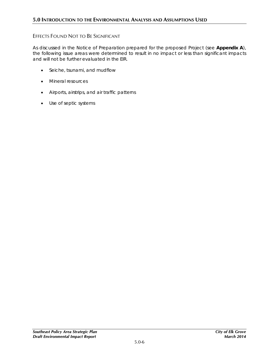## EFFECTS FOUND NOT TO BE SIGNIFICANT

As discussed in the Notice of Preparation prepared for the proposed Project (see **Appendix A**), the following issue areas were determined to result in no impact or less than significant impacts and will not be further evaluated in the EIR.

- Seiche, tsunami, and mudflow
- Mineral resources
- Airports, airstrips, and air traffic patterns
- Use of septic systems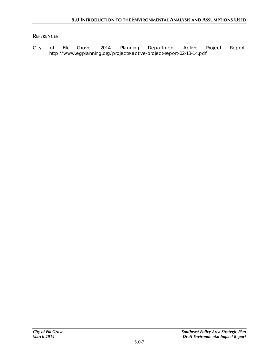# **REFERENCES**

City of Elk Grove. 2014. *Planning Department Active Project Report*. http://www.egplanning.org/projects/active-project-report-02-13-14.pdf